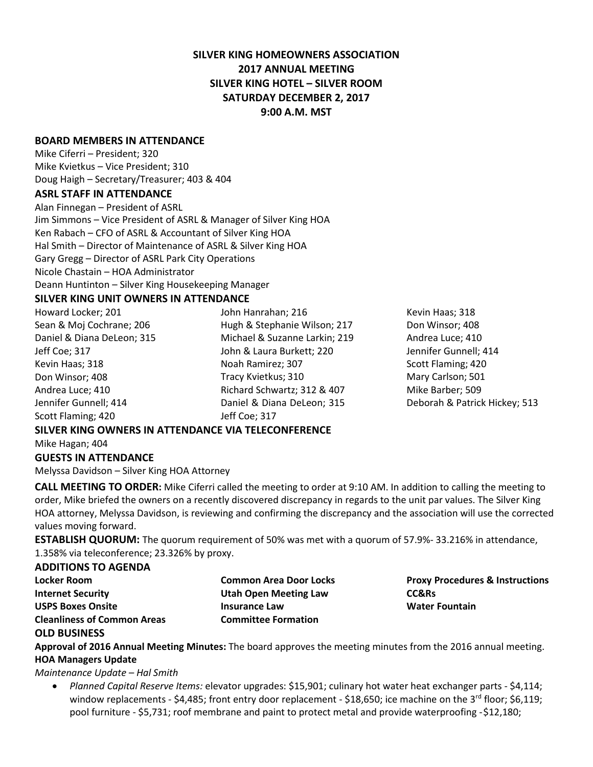# **SILVER KING HOMEOWNERS ASSOCIATION 2017 ANNUAL MEETING SILVER KING HOTEL – SILVER ROOM SATURDAY DECEMBER 2, 2017 9:00 A.M. MST**

#### **BOARD MEMBERS IN ATTENDANCE**

Mike Ciferri – President; 320 Mike Kvietkus – Vice President; 310 Doug Haigh – Secretary/Treasurer; 403 & 404

#### **ASRL STAFF IN ATTENDANCE**

Alan Finnegan – President of ASRL Jim Simmons – Vice President of ASRL & Manager of Silver King HOA Ken Rabach – CFO of ASRL & Accountant of Silver King HOA Hal Smith – Director of Maintenance of ASRL & Silver King HOA Gary Gregg – Director of ASRL Park City Operations Nicole Chastain – HOA Administrator Deann Huntinton – Silver King Housekeeping Manager

#### **SILVER KING UNIT OWNERS IN ATTENDANCE**

Howard Locker; 201 Sean & Moj Cochrane; 206 Daniel & Diana DeLeon; 315 Jeff Coe; 317 Kevin Haas; 318 Don Winsor; 408 Andrea Luce; 410 Jennifer Gunnell; 414 Scott Flaming; 420

- John Hanrahan; 216 Hugh & Stephanie Wilson; 217 Michael & Suzanne Larkin; 219 John & Laura Burkett; 220 Noah Ramirez; 307 Tracy Kvietkus; 310 Richard Schwartz; 312 & 407 Daniel & Diana DeLeon; 315 Jeff Coe; 317
- Kevin Haas; 318 Don Winsor; 408 Andrea Luce; 410 Jennifer Gunnell; 414 Scott Flaming; 420 Mary Carlson; 501 Mike Barber; 509 Deborah & Patrick Hickey; 513

## **SILVER KING OWNERS IN ATTENDANCE VIA TELECONFERENCE**

#### Mike Hagan; 404

#### **GUESTS IN ATTENDANCE**

Melyssa Davidson – Silver King HOA Attorney

**CALL MEETING TO ORDER:** Mike Ciferri called the meeting to order at 9:10 AM. In addition to calling the meeting to order, Mike briefed the owners on a recently discovered discrepancy in regards to the unit par values. The Silver King HOA attorney, Melyssa Davidson, is reviewing and confirming the discrepancy and the association will use the corrected values moving forward.

**ESTABLISH QUORUM:** The quorum requirement of 50% was met with a quorum of 57.9%- 33.216% in attendance, 1.358% via teleconference; 23.326% by proxy.

#### **ADDITIONS TO AGENDA**

| <b>Locker Room</b>                 | <b>Common Area Door Locks</b> |
|------------------------------------|-------------------------------|
| <b>Internet Security</b>           | <b>Utah Open Meeting Law</b>  |
| <b>USPS Boxes Onsite</b>           | <b>Insurance Law</b>          |
| <b>Cleanliness of Common Areas</b> | <b>Committee Formation</b>    |
| <b>OLD BUSINESS</b>                |                               |

**Proxy Procedures & Instructions CC&Rs Water Fountain**

**Approval of 2016 Annual Meeting Minutes:** The board approves the meeting minutes from the 2016 annual meeting. **HOA Managers Update**

*Maintenance Update – Hal Smith*

• *Planned Capital Reserve Items:* elevator upgrades: \$15,901; culinary hot water heat exchanger parts - \$4,114; window replacements - \$4,485; front entry door replacement - \$18,650; ice machine on the 3<sup>rd</sup> floor; \$6,119; pool furniture - \$5,731; roof membrane and paint to protect metal and provide waterproofing -\$12,180;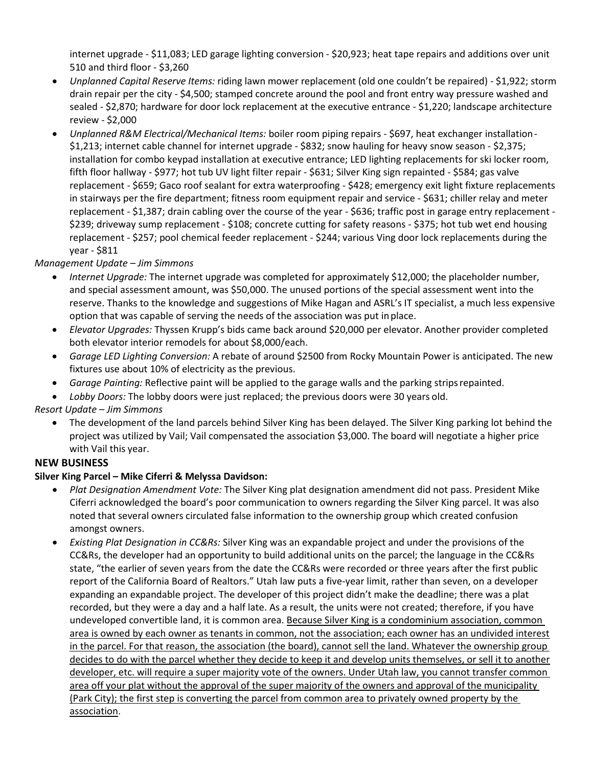internet upgrade - \$11,083; LED garage lighting conversion - \$20,923; heat tape repairs and additions over unit 510 and third floor - \$3,260

- *Unplanned Capital Reserve Items:* riding lawn mower replacement (old one couldn't be repaired) \$1,922; storm drain repair per the city - \$4,500; stamped concrete around the pool and front entry way pressure washed and sealed - \$2,870; hardware for door lock replacement at the executive entrance - \$1,220; landscape architecture review - \$2,000
- *Unplanned R&M Electrical/Mechanical Items:* boiler room piping repairs \$697, heat exchanger installation- \$1,213; internet cable channel for internet upgrade - \$832; snow hauling for heavy snow season - \$2,375; installation for combo keypad installation at executive entrance; LED lighting replacements for ski locker room, fifth floor hallway - \$977; hot tub UV light filter repair - \$631; Silver King sign repainted - \$584; gas valve replacement - \$659; Gaco roof sealant for extra waterproofing - \$428; emergency exit light fixture replacements in stairways per the fire department; fitness room equipment repair and service - \$631; chiller relay and meter replacement - \$1,387; drain cabling over the course of the year - \$636; traffic post in garage entry replacement - \$239; driveway sump replacement - \$108; concrete cutting for safety reasons - \$375; hot tub wet end housing replacement - \$257; pool chemical feeder replacement - \$244; various Ving door lock replacements during the year - \$811

### *Management Update – Jim Simmons*

- *Internet Upgrade:* The internet upgrade was completed for approximately \$12,000; the placeholder number, and special assessment amount, was \$50,000. The unused portions of the special assessment went into the reserve. Thanks to the knowledge and suggestions of Mike Hagan and ASRL's IT specialist, a much less expensive option that was capable of serving the needs of the association was put inplace.
- *Elevator Upgrades:* Thyssen Krupp's bids came back around \$20,000 per elevator. Another provider completed both elevator interior remodels for about \$8,000/each.
- *Garage LED Lighting Conversion:* A rebate of around \$2500 from Rocky Mountain Power is anticipated. The new fixtures use about 10% of electricity as the previous.
- *Garage Painting:* Reflective paint will be applied to the garage walls and the parking stripsrepainted.
- *Lobby Doors:* The lobby doors were just replaced; the previous doors were 30 years old.

*Resort Update – Jim Simmons*

• The development of the land parcels behind Silver King has been delayed. The Silver King parking lot behind the project was utilized by Vail; Vail compensated the association \$3,000. The board will negotiate a higher price with Vail this year.

## **NEW BUSINESS**

### **Silver King Parcel – Mike Ciferri & Melyssa Davidson:**

- *Plat Designation Amendment Vote:* The Silver King plat designation amendment did not pass. President Mike Ciferri acknowledged the board's poor communication to owners regarding the Silver King parcel. It was also noted that several owners circulated false information to the ownership group which created confusion amongst owners.
- *Existing Plat Designation in CC&Rs:* Silver King was an expandable project and under the provisions of the CC&Rs, the developer had an opportunity to build additional units on the parcel; the language in the CC&Rs state, "the earlier of seven years from the date the CC&Rs were recorded or three years after the first public report of the California Board of Realtors." Utah law puts a five-year limit, rather than seven, on a developer expanding an expandable project. The developer of this project didn't make the deadline; there was a plat recorded, but they were a day and a half late. As a result, the units were not created; therefore, if you have undeveloped convertible land, it is common area. Because Silver King is a condominium association, common area is owned by each owner as tenants in common, not the association; each owner has an undivided interest in the parcel. For that reason, the association (the board), cannot sell the land. Whatever the ownership group decides to do with the parcel whether they decide to keep it and develop units themselves, or sell it to another developer, etc. will require a super majority vote of the owners. Under Utah law, you cannot transfer common area off your plat without the approval of the super majority of the owners and approval of the municipality (Park City); the first step is converting the parcel from common area to privately owned property by the association.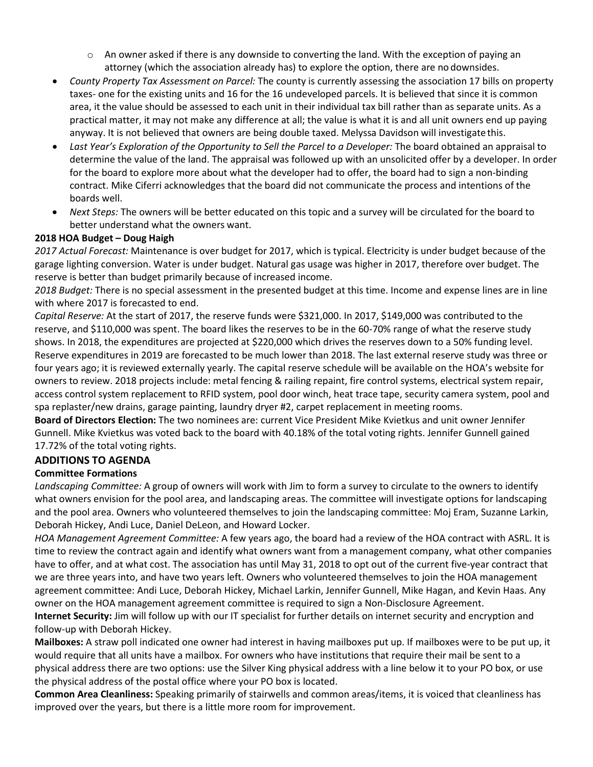- $\circ$  An owner asked if there is any downside to converting the land. With the exception of paying an attorney (which the association already has) to explore the option, there are no downsides.
- *County Property Tax Assessment on Parcel:* The county is currently assessing the association 17 bills on property taxes- one for the existing units and 16 for the 16 undeveloped parcels. It is believed that since it is common area, it the value should be assessed to each unit in their individual tax bill rather than as separate units. As a practical matter, it may not make any difference at all; the value is what it is and all unit owners end up paying anyway. It is not believed that owners are being double taxed. Melyssa Davidson will investigate this.
- *Last Year's Exploration of the Opportunity to Sell the Parcel to a Developer:* The board obtained an appraisal to determine the value of the land. The appraisal was followed up with an unsolicited offer by a developer. In order for the board to explore more about what the developer had to offer, the board had to sign a non-binding contract. Mike Ciferri acknowledges that the board did not communicate the process and intentions of the boards well.
- *Next Steps:* The owners will be better educated on this topic and a survey will be circulated for the board to better understand what the owners want.

### **2018 HOA Budget – Doug Haigh**

*2017 Actual Forecast:* Maintenance is over budget for 2017, which is typical. Electricity is under budget because of the garage lighting conversion. Water is under budget. Natural gas usage was higher in 2017, therefore over budget. The reserve is better than budget primarily because of increased income.

*2018 Budget:* There is no special assessment in the presented budget at this time. Income and expense lines are in line with where 2017 is forecasted to end.

*Capital Reserve:* At the start of 2017, the reserve funds were \$321,000. In 2017, \$149,000 was contributed to the reserve, and \$110,000 was spent. The board likes the reserves to be in the 60-70% range of what the reserve study shows. In 2018, the expenditures are projected at \$220,000 which drives the reserves down to a 50% funding level. Reserve expenditures in 2019 are forecasted to be much lower than 2018. The last external reserve study was three or four years ago; it is reviewed externally yearly. The capital reserve schedule will be available on the HOA's website for owners to review. 2018 projects include: metal fencing & railing repaint, fire control systems, electrical system repair, access control system replacement to RFID system, pool door winch, heat trace tape, security camera system, pool and spa replaster/new drains, garage painting, laundry dryer #2, carpet replacement in meeting rooms.

**Board of Directors Election:** The two nominees are: current Vice President Mike Kvietkus and unit owner Jennifer Gunnell. Mike Kvietkus was voted back to the board with 40.18% of the total voting rights. Jennifer Gunnell gained 17.72% of the total voting rights.

### **ADDITIONS TO AGENDA**

### **Committee Formations**

*Landscaping Committee:* A group of owners will work with Jim to form a survey to circulate to the owners to identify what owners envision for the pool area, and landscaping areas. The committee will investigate options for landscaping and the pool area. Owners who volunteered themselves to join the landscaping committee: Moj Eram, Suzanne Larkin, Deborah Hickey, Andi Luce, Daniel DeLeon, and Howard Locker.

*HOA Management Agreement Committee:* A few years ago, the board had a review of the HOA contract with ASRL. It is time to review the contract again and identify what owners want from a management company, what other companies have to offer, and at what cost. The association has until May 31, 2018 to opt out of the current five-year contract that we are three years into, and have two years left. Owners who volunteered themselves to join the HOA management agreement committee: Andi Luce, Deborah Hickey, Michael Larkin, Jennifer Gunnell, Mike Hagan, and Kevin Haas. Any owner on the HOA management agreement committee is required to sign a Non-Disclosure Agreement.

**Internet Security:** Jim will follow up with our IT specialist for further details on internet security and encryption and follow-up with Deborah Hickey.

**Mailboxes:** A straw poll indicated one owner had interest in having mailboxes put up. If mailboxes were to be put up, it would require that all units have a mailbox. For owners who have institutions that require their mail be sent to a physical address there are two options: use the Silver King physical address with a line below it to your PO box, or use the physical address of the postal office where your PO box is located.

**Common Area Cleanliness:** Speaking primarily of stairwells and common areas/items, it is voiced that cleanliness has improved over the years, but there is a little more room for improvement.